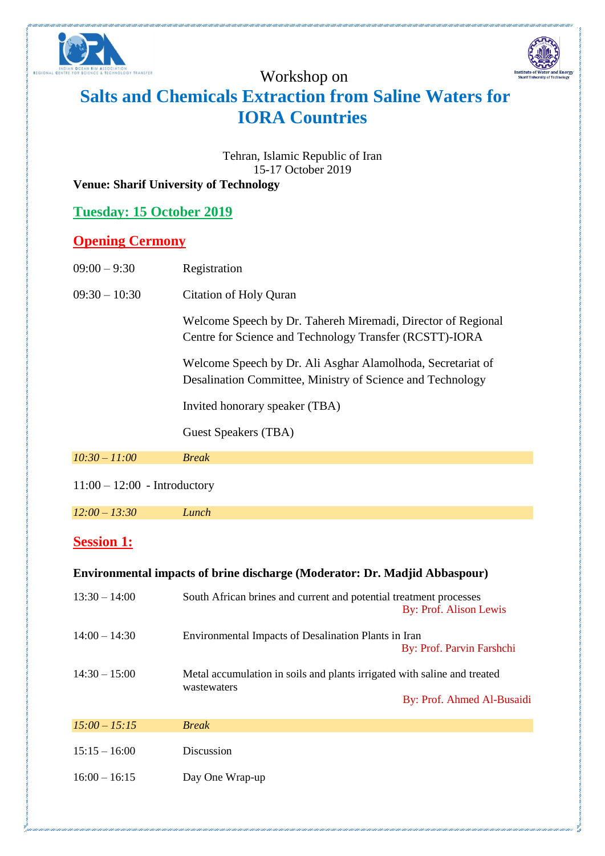

## Workshop on



# **Salts and Chemicals Extraction from Saline Waters for IORA Countries**

Tehran, Islamic Republic of Iran 15-17 October 2019

#### **Venue: Sharif University of Technology**

| <b>Tuesday: 15 October 2019</b> |  |
|---------------------------------|--|
|---------------------------------|--|

#### **Opening Cermony**

| $09:00 - 9:30$                                                             | Registration                                                                                                              |  |  |  |
|----------------------------------------------------------------------------|---------------------------------------------------------------------------------------------------------------------------|--|--|--|
| $09:30 - 10:30$                                                            | Citation of Holy Quran                                                                                                    |  |  |  |
|                                                                            | Welcome Speech by Dr. Tahereh Miremadi, Director of Regional<br>Centre for Science and Technology Transfer (RCSTT)-IORA   |  |  |  |
|                                                                            | Welcome Speech by Dr. Ali Asghar Alamolhoda, Secretariat of<br>Desalination Committee, Ministry of Science and Technology |  |  |  |
|                                                                            | Invited honorary speaker (TBA)                                                                                            |  |  |  |
|                                                                            | Guest Speakers (TBA)                                                                                                      |  |  |  |
| $10:30 - 11:00$                                                            | <b>Break</b>                                                                                                              |  |  |  |
| $11:00 - 12:00$ - Introductory                                             |                                                                                                                           |  |  |  |
| $12:00 - 13:30$                                                            | Lunch                                                                                                                     |  |  |  |
| <b>Session 1:</b>                                                          |                                                                                                                           |  |  |  |
| Environmental impacts of brine discharge (Moderator: Dr. Madjid Abbaspour) |                                                                                                                           |  |  |  |
| $13:30 - 14:00$                                                            | South African brines and current and potential treatment processes<br>By: Prof. Alison Lewis                              |  |  |  |
| $14:00 - 14:30$                                                            | Environmental Impacts of Desalination Plants in Iran<br>By: Prof. Parvin Farshchi                                         |  |  |  |

14:30 – 15:00 Metal accumulation in soils and plants irrigated with saline and treated wastewaters By: Prof. Ahmed Al-Busaidi

| $15:00 - 15:15$ | <b>Break</b>    |
|-----------------|-----------------|
| $15:15 - 16:00$ | Discussion      |
| $16:00 - 16:15$ | Day One Wrap-up |